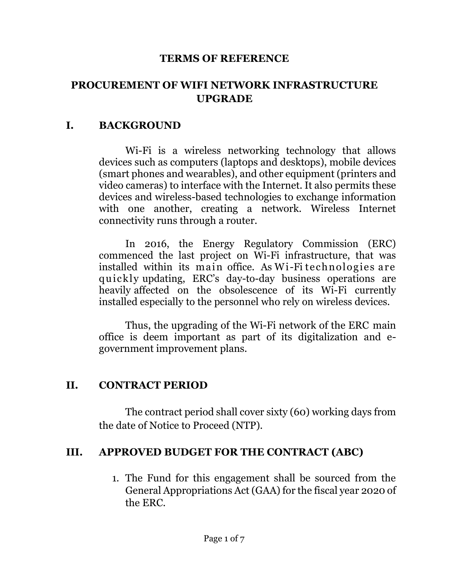#### **TERMS OF REFERENCE**

## **PROCUREMENT OF WIFI NETWORK INFRASTRUCTURE UPGRADE**

#### **I. BACKGROUND**

Wi-Fi is a wireless networking technology that allows devices such as computers (laptops and desktops), mobile devices (smart phones and wearables), and other equipment (printers and video cameras) to interface with the Internet. It also permits these devices and wireless-based technologies to exchange information with one another, creating a network. Wireless Internet connectivity runs through a router.

In 2016, the Energy Regulatory Commission (ERC) commenced the last project on Wi-Fi infrastructure, that was installed within its main office. As Wi-Fi technologies are quickly updating, ERC's day-to-day business operations are heavily affected on the obsolescence of its Wi-Fi currently installed especially to the personnel who rely on wireless devices.

Thus, the upgrading of the Wi-Fi network of the ERC main office is deem important as part of its digitalization and egovernment improvement plans.

### **II. CONTRACT PERIOD**

The contract period shall cover sixty (60) working days from the date of Notice to Proceed (NTP).

### **III. APPROVED BUDGET FOR THE CONTRACT (ABC)**

1. The Fund for this engagement shall be sourced from the General Appropriations Act (GAA) for the fiscal year 2020 of the ERC.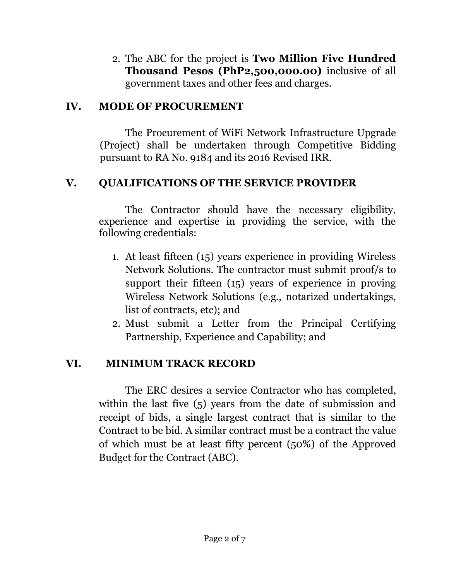2. The ABC for the project is **Two Million Five Hundred Thousand Pesos (PhP2,500,000.00)** inclusive of all government taxes and other fees and charges.

### **IV. MODE OF PROCUREMENT**

The Procurement of WiFi Network Infrastructure Upgrade (Project) shall be undertaken through Competitive Bidding pursuant to RA No. 9184 and its 2016 Revised IRR.

## **V. QUALIFICATIONS OF THE SERVICE PROVIDER**

The Contractor should have the necessary eligibility, experience and expertise in providing the service, with the following credentials:

- 1. At least fifteen (15) years experience in providing Wireless Network Solutions. The contractor must submit proof/s to support their fifteen (15) years of experience in proving Wireless Network Solutions (e.g., notarized undertakings, list of contracts, etc); and
- 2. Must submit a Letter from the Principal Certifying Partnership, Experience and Capability; and

## **VI. MINIMUM TRACK RECORD**

The ERC desires a service Contractor who has completed, within the last five (5) years from the date of submission and receipt of bids, a single largest contract that is similar to the Contract to be bid. A similar contract must be a contract the value of which must be at least fifty percent (50%) of the Approved Budget for the Contract (ABC).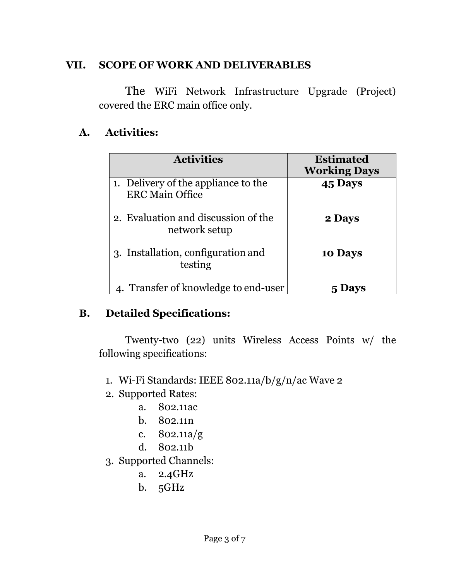## **VII. SCOPE OF WORK AND DELIVERABLES**

The WiFi Network Infrastructure Upgrade (Project) covered the ERC main office only.

# **A. Activities:**

| <b>Activities</b>                                             | <b>Estimated</b><br><b>Working Days</b> |
|---------------------------------------------------------------|-----------------------------------------|
| 1. Delivery of the appliance to the<br><b>ERC Main Office</b> | 45 Days                                 |
| 2. Evaluation and discussion of the<br>network setup          | 2 Days                                  |
| 3. Installation, configuration and<br>testing                 | 10 Days                                 |
| 4. Transfer of knowledge to end-user                          | Davs                                    |

## **B. Detailed Specifications:**

Twenty-two (22) units Wireless Access Points w/ the following specifications:

- 1. Wi-Fi Standards: IEEE 802.11a/b/g/n/ac Wave 2
- 2. Supported Rates:
	- a. 802.11ac
	- b. 802.11n
	- c. 802.11a/g
	- d. 802.11b
- 3. Supported Channels:
	- a. 2.4GHz
	- b. 5GHz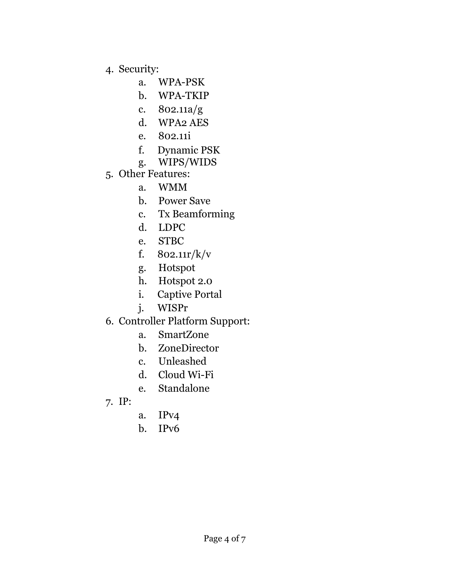- 4. Security:
	- a. WPA-PSK
	- b. WPA-TKIP
	- c. 802.11a/g
	- d. WPA2 AES
	- e. 802.11i
	- f. Dynamic PSK
	- g. WIPS/WIDS
- 5. Other Features:
	- a. WMM
	- b. Power Save
	- c. Tx Beamforming
	- d. LDPC
	- e. STBC
	- f. 802.11r/k/v
	- g. Hotspot
	- h. Hotspot 2.0
	- i. Captive Portal
	- j. WISPr
- 6. Controller Platform Support:
	- a. SmartZone
	- b. ZoneDirector
	- c. Unleashed
	- d. Cloud Wi-Fi
	- e. Standalone
- 7. IP:
- a. IPv4
- b. IPv6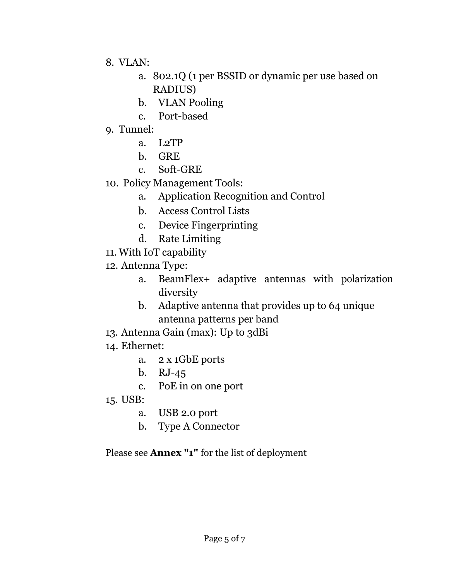- 8. VLAN:
	- a. 802.1Q (1 per BSSID or dynamic per use based on RADIUS)
	- b. VLAN Pooling
	- c. Port-based
- 9. Tunnel:
	- a. L2TP
	- b. GRE
	- c. Soft-GRE
- 10. Policy Management Tools:
	- a. Application Recognition and Control
	- b. Access Control Lists
	- c. Device Fingerprinting
	- d. Rate Limiting
- 11. With IoT capability
- 12. Antenna Type:
	- a. BeamFlex+ adaptive antennas with polarization diversity
	- b. Adaptive antenna that provides up to 64 unique antenna patterns per band
- 13. Antenna Gain (max): Up to 3dBi
- 14. Ethernet:
	- a. 2 x 1GbE ports
	- b. RJ-45
	- c. PoE in on one port
- 15. USB:
	- a. USB 2.0 port
	- b. Type A Connector

Please see **Annex "1"** for the list of deployment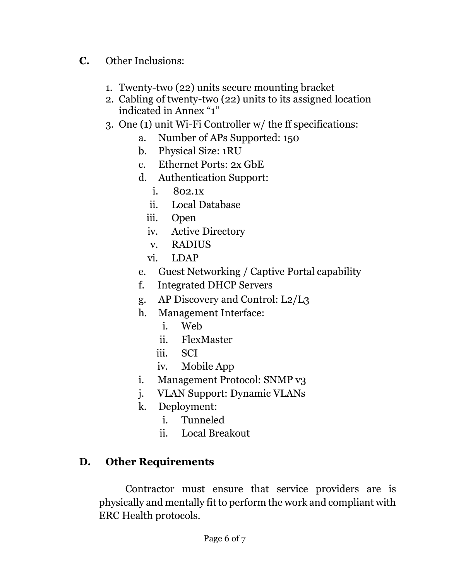- **C.** Other Inclusions:
	- 1. Twenty-two (22) units secure mounting bracket
	- 2. Cabling of twenty-two (22) units to its assigned location indicated in Annex "1"
	- 3. One (1) unit Wi-Fi Controller w/ the ff specifications:
		- a. Number of APs Supported: 150
		- b. Physical Size: 1RU
		- c. Ethernet Ports: 2x GbE
		- d. Authentication Support:
			- i. 802.1x
			- ii. Local Database
			- iii. Open
			- iv. Active Directory
			- v. RADIUS
			- vi. LDAP
		- e. Guest Networking / Captive Portal capability
		- f. Integrated DHCP Servers
		- g. AP Discovery and Control: L2/L3
		- h. Management Interface:
			- i. Web
			- ii. FlexMaster
			- iii. SCI
			- iv. Mobile App
		- i. Management Protocol: SNMP v3
		- j. VLAN Support: Dynamic VLANs
		- k. Deployment:
			- i. Tunneled
			- ii. Local Breakout

# **D. Other Requirements**

Contractor must ensure that service providers are is physically and mentally fit to perform the work and compliant with ERC Health protocols.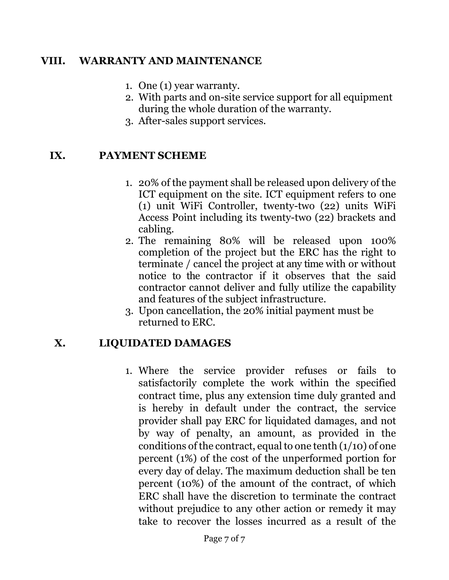### **VIII. WARRANTY AND MAINTENANCE**

- 1. One (1) year warranty.
- 2. With parts and on-site service support for all equipment during the whole duration of the warranty.
- 3. After-sales support services.

### **IX. PAYMENT SCHEME**

- 1. 20% of the payment shall be released upon delivery of the ICT equipment on the site. ICT equipment refers to one (1) unit WiFi Controller, twenty-two (22) units WiFi Access Point including its twenty-two (22) brackets and cabling.
- 2. The remaining 80% will be released upon 100% completion of the project but the ERC has the right to terminate / cancel the project at any time with or without notice to the contractor if it observes that the said contractor cannot deliver and fully utilize the capability and features of the subject infrastructure.
- 3. Upon cancellation, the 20% initial payment must be returned to ERC.

### **X. LIQUIDATED DAMAGES**

1. Where the service provider refuses or fails to satisfactorily complete the work within the specified contract time, plus any extension time duly granted and is hereby in default under the contract, the service provider shall pay ERC for liquidated damages, and not by way of penalty, an amount, as provided in the conditions of the contract, equal to one tenth  $(1/10)$  of one percent (1%) of the cost of the unperformed portion for every day of delay. The maximum deduction shall be ten percent (10%) of the amount of the contract, of which ERC shall have the discretion to terminate the contract without prejudice to any other action or remedy it may take to recover the losses incurred as a result of the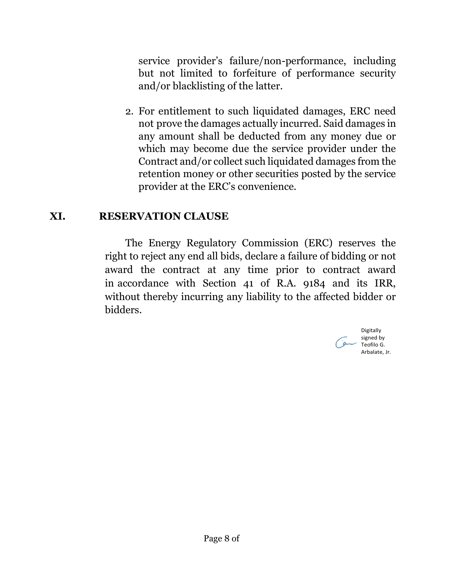service provider's failure/non-performance, including but not limited to forfeiture of performance security and/or blacklisting of the latter.

2. For entitlement to such liquidated damages, ERC need not prove the damages actually incurred. Said damages in any amount shall be deducted from any money due or which may become due the service provider under the Contract and/or collect such liquidated damages from the retention money or other securities posted by the service provider at the ERC's convenience.

### **XI. RESERVATION CLAUSE**

The Energy Regulatory Commission (ERC) reserves the right to reject any end all bids, declare a failure of bidding or not award the contract at any time prior to contract award in accordance with Section 41 of R.A. 9184 and its IRR, without thereby incurring any liability to the affected bidder or bidders.

> Digitally signed by Teofilo G. Arbalate, Jr.